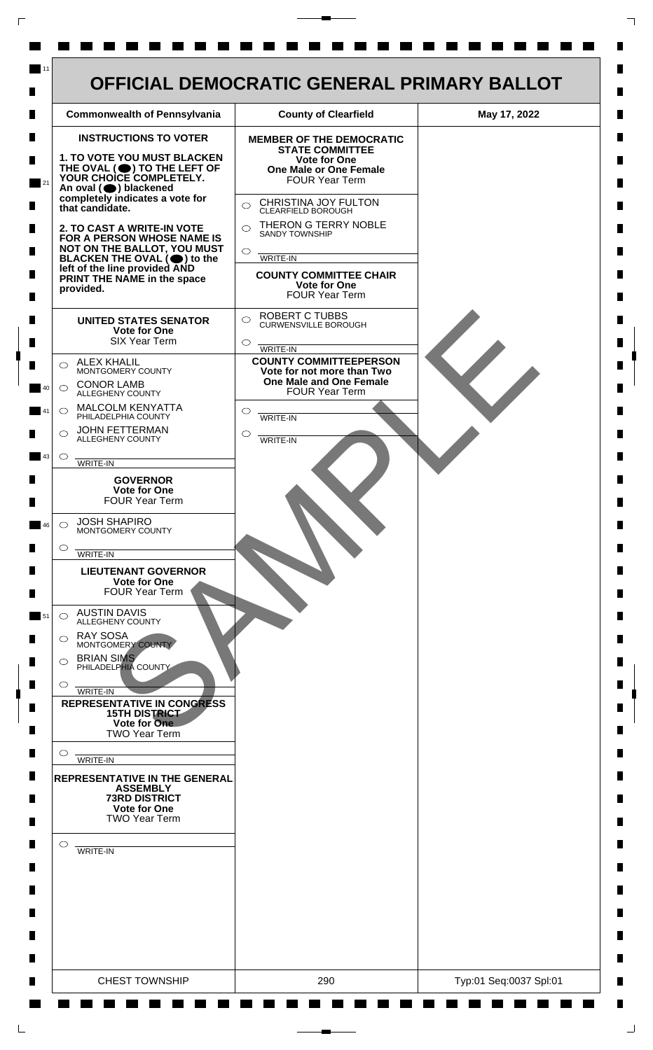

 $\mathsf{L}$